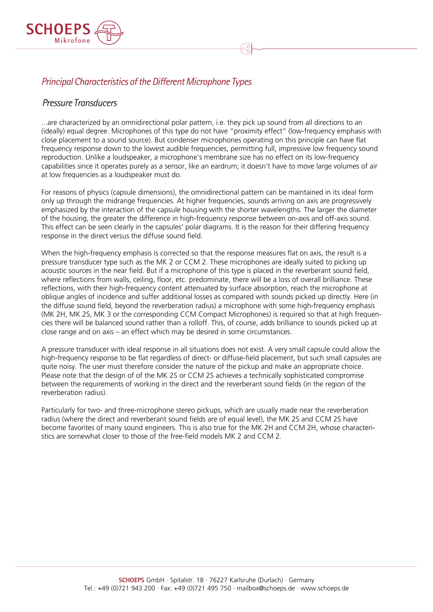

# *Principal Characteristics of the Different Microphone Types*

### *Pressure Transducers*

...are characterized by an omnidirectional polar pattern, i.e. they pick up sound from all directions to an (ideally) equal degree. Microphones of this type do not have "proximity effect" (low-frequency emphasis with close placement to a sound source). But condenser microphones operating on this principle can have flat frequency response down to the lowest audible frequencies, permitting full, impressive low frequency sound reproduction. Unlike a loudspeaker, a microphone's membrane size has no effect on its low-frequency capabilities since it operates purely as a sensor, like an eardrum; it doesn't have to move large volumes of air at low frequencies as a loudspeaker must do.

For reasons of physics (capsule dimensions), the omnidirectional pattern can be maintained in its ideal form only up through the midrange frequencies. At higher frequencies, sounds arriving on axis are progressively emphasized by the interaction of the capsule housing with the shorter wavelengths. The larger the diameter of the housing, the greater the difference in high-frequency response between on-axis and off-axis sound. This effect can be seen clearly in the capsules' polar diagrams. It is the reason for their differing frequency response in the direct versus the diffuse sound field.

When the high-frequency emphasis is corrected so that the response measures flat on axis, the result is a pressure transducer type such as the MK 2 or CCM 2. These microphones are ideally suited to picking up acoustic sources in the near field. But if a microphone of this type is placed in the reverberant sound field, where reflections from walls, ceiling, floor, etc. predominate, there will be a loss of overall brilliance. These reflections, with their high-frequency content attenuated by surface absorption, reach the microphone at oblique angles of incidence and suffer additional losses as compared with sounds picked up directly. Here (in the diffuse sound field, beyond the reverberation radius) a microphone with some high-frequency emphasis (MK 2H, MK 2S, MK 3 or the corresponding CCM Compact Microphones) is required so that at high frequencies there will be balanced sound rather than a rolloff. This, of course, adds brilliance to sounds picked up at close range and on axis – an effect which may be desired in some circumstances.

A pressure transducer with ideal response in all situations does not exist. A very small capsule could allow the high-frequency response to be flat regardless of direct- or diffuse-field placement, but such small capsules are quite noisy. The user must therefore consider the nature of the pickup and make an appropriate choice. Please note that the design of of the MK 2S or CCM 2S achieves a technically sophisticated compromise between the requirements of working in the direct and the reverberant sound fields (in the region of the reverberation radius).

Particularly for two- and three-microphone stereo pickups, which are usually made near the reverberation radius (where the direct and reverberant sound fields are of equal level), the MK 2S and CCM 2S have become favorites of many sound engineers. This is also true for the MK 2H and CCM 2H, whose characteristics are somewhat closer to those of the free-field models MK 2 and CCM 2.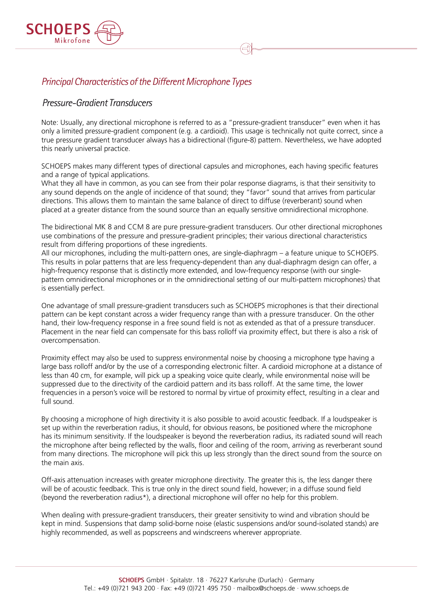

## *Principal Characteristics of the Different Microphone Types*

### *Pressure-Gradient Transducers*

Note: Usually, any directional microphone is referred to as a "pressure-gradient transducer" even when it has only a limited pressure-gradient component (e.g. a cardioid). This usage is technically not quite correct, since a true pressure gradient transducer always has a bidirectional (figure-8) pattern. Nevertheless, we have adopted this nearly universal practice.

SCHOEPS makes many different types of directional capsules and microphones, each having specific features and a range of typical applications.

What they all have in common, as you can see from their polar response diagrams, is that their sensitivity to any sound depends on the angle of incidence of that sound; they "favor" sound that arrives from particular directions. This allows them to maintain the same balance of direct to diffuse (reverberant) sound when placed at a greater distance from the sound source than an equally sensitive omnidirectional microphone.

The bidirectional MK 8 and CCM 8 are pure pressure-gradient transducers. Our other directional microphones use combinations of the pressure and pressure-gradient principles; their various directional characteristics result from differing proportions of these ingredients.

All our microphones, including the multi-pattern ones, are single-diaphragm – a feature unique to SCHOEPS. This results in polar patterns that are less frequency-dependent than any dual-diaphragm design can offer, a high-frequency response that is distinctly more extended, and low-frequency response (with our singlepattern omnidirectional microphones or in the omnidirectional setting of our multi-pattern microphones) that is essentially perfect.

One advantage of small pressure-gradient transducers such as SCHOEPS microphones is that their directional pattern can be kept constant across a wider frequency range than with a pressure transducer. On the other hand, their low-frequency response in a free sound field is not as extended as that of a pressure transducer. Placement in the near field can compensate for this bass rolloff via proximity effect, but there is also a risk of overcompensation.

Proximity effect may also be used to suppress environmental noise by choosing a microphone type having a large bass rolloff and/or by the use of a corresponding electronic filter. A cardioid microphone at a distance of less than 40 cm, for example, will pick up a speaking voice quite clearly, while environmental noise will be suppressed due to the directivity of the cardioid pattern and its bass rolloff. At the same time, the lower frequencies in a person's voice will be restored to normal by virtue of proximity effect, resulting in a clear and full sound.

By choosing a microphone of high directivity it is also possible to avoid acoustic feedback. If a loudspeaker is set up within the reverberation radius, it should, for obvious reasons, be positioned where the microphone has its minimum sensitivity. If the loudspeaker is beyond the reverberation radius, its radiated sound will reach the microphone after being reflected by the walls, floor and ceiling of the room, arriving as reverberant sound from many directions. The microphone will pick this up less strongly than the direct sound from the source on the main axis.

Off-axis attenuation increases with greater microphone directivity. The greater this is, the less danger there will be of acoustic feedback. This is true only in the direct sound field, however; in a diffuse sound field (beyond the reverberation radius\*), a directional microphone will offer no help for this problem.

When dealing with pressure-gradient transducers, their greater sensitivity to wind and vibration should be kept in mind. Suspensions that damp solid-borne noise (elastic suspensions and/or sound-isolated stands) are highly recommended, as well as popscreens and windscreens wherever appropriate.